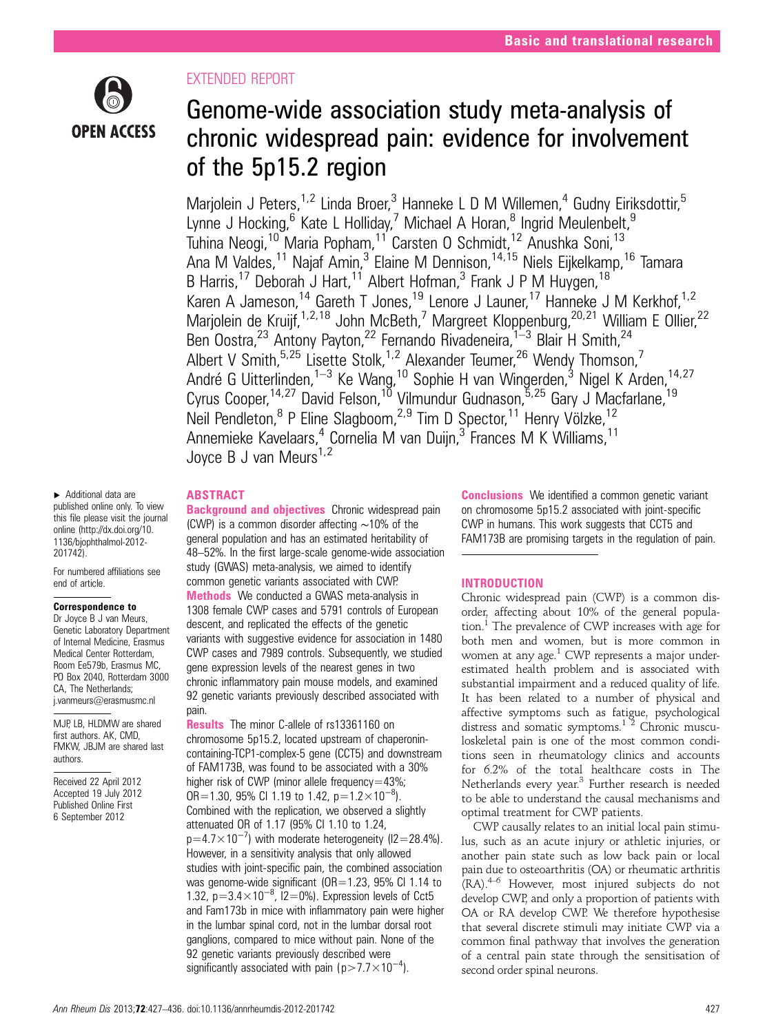# EXTENDED REPORT



# Genome-wide association study meta-analysis of chronic widespread pain: evidence for involvement of the 5p15.2 region

Marjolein J Peters,<sup>1,2</sup> Linda Broer,<sup>3</sup> Hanneke L D M Willemen,<sup>4</sup> Gudny Eiriksdottir,<sup>5</sup> Lynne J Hocking, <sup>6</sup> Kate L Holliday, 7 Michael A Horan, 8 Ingrid Meulenbelt, 9 Tuhina Neogi,<sup>10</sup> Maria Popham,<sup>11</sup> Carsten O Schmidt,<sup>12</sup> Anushka Soni,<sup>13</sup> Ana M Valdes,<sup>11</sup> Najaf Amin,<sup>3</sup> Elaine M Dennison,<sup>14,15</sup> Niels Eijkelkamp,<sup>16</sup> Tamara B Harris,<sup>17</sup> Deborah J Hart,<sup>11</sup> Albert Hofman,<sup>3</sup> Frank J P M Huygen,<sup>18</sup> Karen A Jameson,<sup>14</sup> Gareth T Jones,<sup>19</sup> Lenore J Launer,<sup>17</sup> Hanneke J M Kerkhof,<sup>1,2</sup> Marjolein de Kruijf,<sup>1,2,18</sup> John McBeth,<sup>7</sup> Margreet Kloppenburg,<sup>20,21</sup> William E Ollier,<sup>22</sup> Ben Oostra,<sup>23</sup> Antony Payton,<sup>22</sup> Fernando Rivadeneira,<sup>1–3</sup> Blair H Smith,<sup>24</sup> Albert V Smith,<sup>5,25</sup> Lisette Stolk,<sup>1,2</sup> Alexander Teumer,<sup>26</sup> Wendy Thomson,<sup>7</sup> André G Uitterlinden,<sup>1–3</sup> Ke Wang,<sup>10</sup> Sophie H van Wingerden,<sup>3</sup> Nigel K Arden,<sup>14,27</sup> Cyrus Cooper,<sup>14,27</sup> David Felson,<sup>10</sup> Vilmundur Gudnason,<sup>5,25</sup> Gary J Macfarlane,<sup>19</sup> Neil Pendleton, <sup>8</sup> P Eline Slagboom, <sup>2,9</sup> Tim D Spector, <sup>11</sup> Henry Völzke, <sup>12</sup> Annemieke Kavelaars,<sup>4</sup> Cornelia M van Duijn,<sup>3</sup> Frances M K Williams,<sup>11</sup> Joyce B J van Meurs<sup>1,2</sup>

▸ Additional data are published online only. To view this file please visit the journal online [\(http://dx.doi.org/10.](http://bjo.bmj.com) [1136/bjophthalmol-2012-](http://bjo.bmj.com) [201742](http://bjo.bmj.com)).

For numbered affiliations see end of article.

#### Correspondence to

Dr Joyce B J van Meurs, Genetic Laboratory Department of Internal Medicine, Erasmus Medical Center Rotterdam, Room Ee579b, Erasmus MC, PO Box 2040, Rotterdam 3000 CA, The Netherlands; j.vanmeurs@erasmusmc.nl

MJP, LB, HLDMW are shared first authors. AK, CMD, FMKW, JBJM are shared last authors.

Received 22 April 2012 Accepted 19 July 2012 Published Online First 6 September 2012

# ABSTRACT

**Background and objectives** Chronic widespread pain (CWP) is a common disorder affecting ∼10% of the general population and has an estimated heritability of 48–52%. In the first large-scale genome-wide association study (GWAS) meta-analysis, we aimed to identify common genetic variants associated with CWP. Methods We conducted a GWAS meta-analysis in 1308 female CWP cases and 5791 controls of European descent, and replicated the effects of the genetic variants with suggestive evidence for association in 1480 CWP cases and 7989 controls. Subsequently, we studied gene expression levels of the nearest genes in two chronic inflammatory pain mouse models, and examined 92 genetic variants previously described associated with pain.

Results The minor C-allele of rs13361160 on chromosome 5p15.2, located upstream of chaperonincontaining-TCP1-complex-5 gene (CCT5) and downstream of FAM173B, was found to be associated with a 30% higher risk of CWP (minor allele frequency=43%;  $OR = 1.30$ , 95% CI 1.19 to 1.42, p= $1.2 \times 10^{-8}$ ). Combined with the replication, we observed a slightly attenuated OR of 1.17 (95% CI 1.10 to 1.24,  $p=4.7\times10^{-7}$ ) with moderate heterogeneity (I2=28.4%). However, in a sensitivity analysis that only allowed studies with joint-specific pain, the combined association was genome-wide significant  $(OR=1.23, 95\% \text{ Cl } 1.14 \text{ to } 1.14)$ 1.32, p=3.4 $\times$ 10<sup>-8</sup>, I2=0%). Expression levels of Cct5 and Fam173b in mice with inflammatory pain were higher in the lumbar spinal cord, not in the lumbar dorsal root ganglions, compared to mice without pain. None of the 92 genetic variants previously described were significantly associated with pain ( $p > 7.7 \times 10^{-4}$ ).

**Conclusions** We identified a common genetic variant on chromosome 5p15.2 associated with joint-specific CWP in humans. This work suggests that CCT5 and FAM173B are promising targets in the regulation of pain.

#### INTRODUCTION

Chronic widespread pain (CWP) is a common disorder, affecting about 10% of the general population.1 The prevalence of CWP increases with age for both men and women, but is more common in women at any age.<sup>1</sup> CWP represents a major underestimated health problem and is associated with substantial impairment and a reduced quality of life. It has been related to a number of physical and affective symptoms such as fatigue, psychological distress and somatic symptoms.<sup>1 2</sup> Chronic musculoskeletal pain is one of the most common conditions seen in rheumatology clinics and accounts for 6.2% of the total healthcare costs in The Netherlands every year.<sup>3</sup> Further research is needed to be able to understand the causal mechanisms and optimal treatment for CWP patients.

CWP causally relates to an initial local pain stimulus, such as an acute injury or athletic injuries, or another pain state such as low back pain or local pain due to osteoarthritis (OA) or rheumatic arthritis (RA).4–<sup>6</sup> However, most injured subjects do not develop CWP, and only a proportion of patients with OA or RA develop CWP. We therefore hypothesise that several discrete stimuli may initiate CWP via a common final pathway that involves the generation of a central pain state through the sensitisation of second order spinal neurons.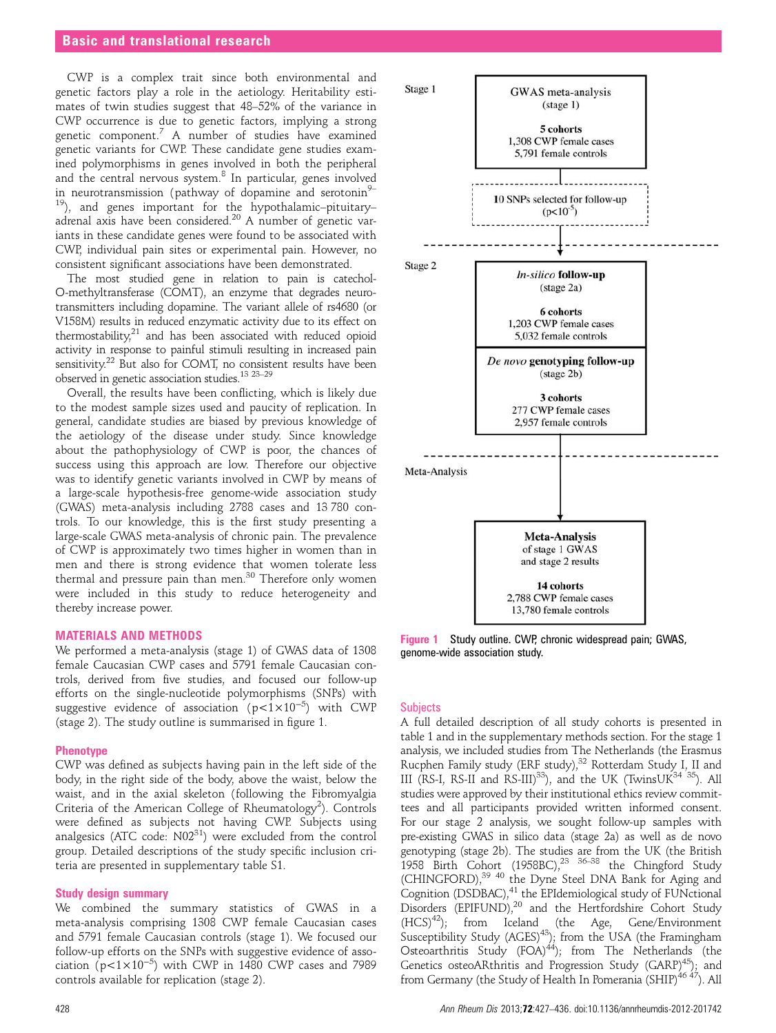CWP is a complex trait since both environmental and genetic factors play a role in the aetiology. Heritability estimates of twin studies suggest that 48–52% of the variance in CWP occurrence is due to genetic factors, implying a strong genetic component.7 A number of studies have examined genetic variants for CWP. These candidate gene studies examined polymorphisms in genes involved in both the peripheral and the central nervous system.<sup>8</sup> In particular, genes involved in neurotransmission (pathway of dopamine and serotonin $9-$ 19), and genes important for the hypothalamic–pituitary– adrenal axis have been considered.<sup>20</sup> A number of genetic variants in these candidate genes were found to be associated with CWP, individual pain sites or experimental pain. However, no consistent significant associations have been demonstrated.

The most studied gene in relation to pain is catechol-O-methyltransferase (COMT), an enzyme that degrades neurotransmitters including dopamine. The variant allele of rs4680 (or V158M) results in reduced enzymatic activity due to its effect on thermostability,21 and has been associated with reduced opioid activity in response to painful stimuli resulting in increased pain sensitivity.<sup>22</sup> But also for COMT, no consistent results have been observed in genetic association studies.13 23–<sup>29</sup>

Overall, the results have been conflicting, which is likely due to the modest sample sizes used and paucity of replication. In general, candidate studies are biased by previous knowledge of the aetiology of the disease under study. Since knowledge about the pathophysiology of CWP is poor, the chances of success using this approach are low. Therefore our objective was to identify genetic variants involved in CWP by means of a large-scale hypothesis-free genome-wide association study (GWAS) meta-analysis including 2788 cases and 13 780 controls. To our knowledge, this is the first study presenting a large-scale GWAS meta-analysis of chronic pain. The prevalence of CWP is approximately two times higher in women than in men and there is strong evidence that women tolerate less thermal and pressure pain than men.<sup>30</sup> Therefore only women were included in this study to reduce heterogeneity and thereby increase power.

#### MATERIALS AND METHODS

We performed a meta-analysis (stage 1) of GWAS data of 1308 female Caucasian CWP cases and 5791 female Caucasian controls, derived from five studies, and focused our follow-up efforts on the single-nucleotide polymorphisms (SNPs) with suggestive evidence of association (p<1×10<sup>-5</sup>) with CWP (stage 2). The study outline is summarised in figure 1.

#### **Phenotype**

CWP was defined as subjects having pain in the left side of the body, in the right side of the body, above the waist, below the waist, and in the axial skeleton (following the Fibromyalgia Criteria of the American College of Rheumatology<sup>2</sup>). Controls were defined as subjects not having CWP. Subjects using analgesics (ATC code:  $N02^{31}$ ) were excluded from the control group. Detailed descriptions of the study specific inclusion criteria are presented in [supplementary table S1](http://.oxfordjournals.org/lookup/suppl/doi:10.1093//annrheumdis-2012-201742/-/DC1).

#### Study design summary

We combined the summary statistics of GWAS in a meta-analysis comprising 1308 CWP female Caucasian cases and 5791 female Caucasian controls (stage 1). We focused our follow-up efforts on the SNPs with suggestive evidence of association ( $p$ <1×10<sup>-5</sup>) with CWP in 1480 CWP cases and 7989 controls available for replication (stage 2).



Figure 1 Study outline. CWP, chronic widespread pain; GWAS, genome-wide association study.

#### **Subjects**

A full detailed description of all study cohorts is presented in table 1 and in the [supplementary methods](http://.oxfordjournals.org/lookup/suppl/doi:10.1093//annrheumdis-2012-201742/-/DC1) section. For the stage 1 analysis, we included studies from The Netherlands (the Erasmus Rucphen Family study (ERF study),<sup>32</sup> Rotterdam Study I, II and III (RS-I, RS-II and RS-III)<sup>33</sup>), and the UK (TwinsUK<sup>34 35</sup>). All studies were approved by their institutional ethics review committees and all participants provided written informed consent. For our stage 2 analysis, we sought follow-up samples with pre-existing GWAS in silico data (stage 2a) as well as de novo genotyping (stage 2b). The studies are from the UK (the British 1958 Birth Cohort (1958BC), $^{23}$   $^{36-38}$  the Chingford Study (CHINGFORD),<sup>39 40</sup> the Dyne Steel DNA Bank for Aging and Cognition (DSDBAC),<sup>41</sup> the EPIdemiological study of FUNctional Disorders (EPIFUND),<sup>20</sup> and the Hertfordshire Cohort Study  $(HCS)^{42}$ ); from Iceland (the Age, Gene/Environment Susceptibility Study (AGES)<sup>43</sup>); from the USA (the Framingham Osteoarthritis Study (FOA)<sup>44</sup>); from The Netherlands (the Genetics osteoARthritis and Progression Study (GARP)<sup>45</sup>); and from Germany (the Study of Health In Pomerania (SHIP)<sup>46 47</sup>). All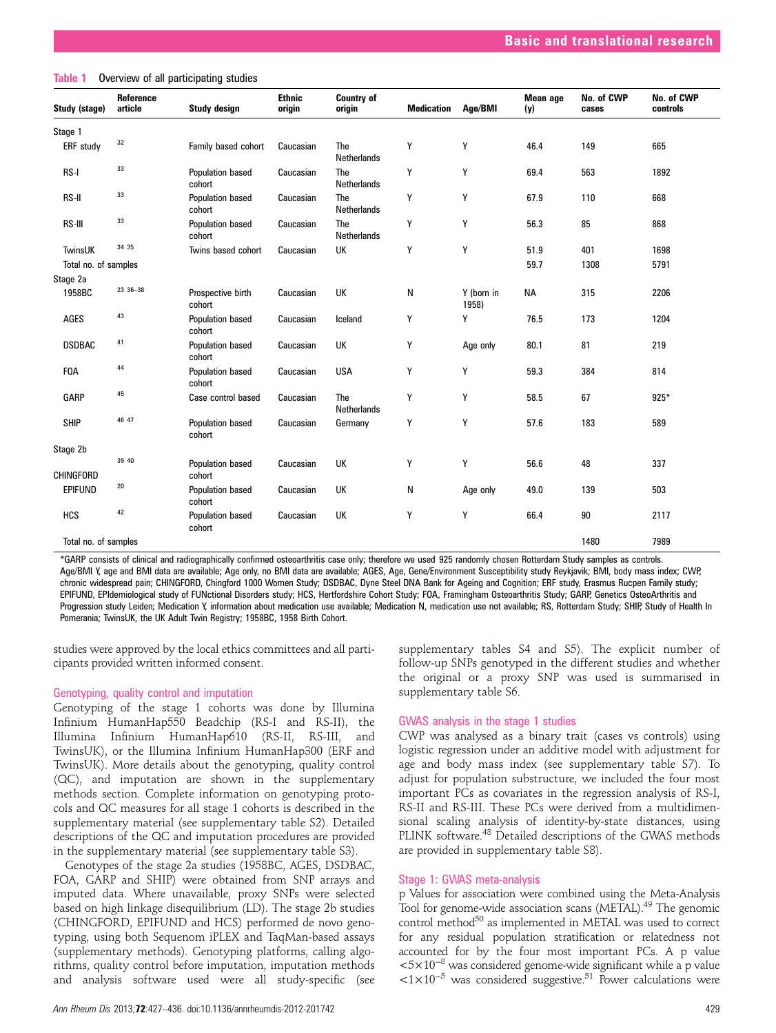| Study (stage)        | Reference<br>article | Study design                      | <b>Ethnic</b><br>origin | <b>Country of</b><br>origin | <b>Medication</b> | Age/BMI             | Mean age<br>(y) | No. of CWP<br>cases | No. of CWP<br>controls |
|----------------------|----------------------|-----------------------------------|-------------------------|-----------------------------|-------------------|---------------------|-----------------|---------------------|------------------------|
| Stage 1              |                      |                                   |                         |                             |                   |                     |                 |                     |                        |
| ERF study            | 32                   | Family based cohort               | Caucasian               | The<br><b>Netherlands</b>   | Υ                 | Υ                   | 46.4            | 149                 | 665                    |
| RS-I                 | 33                   | Population based<br>cohort        | Caucasian               | The<br><b>Netherlands</b>   | Y                 | Y                   | 69.4            | 563                 | 1892                   |
| RS-II                | 33                   | Population based<br>cohort        | Caucasian               | The<br>Netherlands          | Y                 | Υ                   | 67.9            | 110                 | 668                    |
| RS-III               | 33                   | Population based<br>cohort        | Caucasian               | The<br>Netherlands          | Υ                 | Υ                   | 56.3            | 85                  | 868                    |
| TwinsUK              | 34 35                | Twins based cohort                | Caucasian               | UK                          | Υ                 | Υ                   | 51.9            | 401                 | 1698                   |
| Total no. of samples |                      |                                   |                         |                             |                   |                     | 59.7            | 1308                | 5791                   |
| Stage 2a             |                      |                                   |                         |                             |                   |                     |                 |                     |                        |
| 1958BC               | 23 36 - 38           | Prospective birth<br>cohort       | Caucasian               | UK                          | N                 | Y (born in<br>1958) | <b>NA</b>       | 315                 | 2206                   |
| AGES                 | 43                   | Population based<br>cohort        | Caucasian               | Iceland                     | Y                 | Y                   | 76.5            | 173                 | 1204                   |
| <b>DSDBAC</b>        | 41                   | Population based<br>cohort        | Caucasian               | UK                          | Y                 | Age only            | 80.1            | 81                  | 219                    |
| <b>FOA</b>           | 44                   | <b>Population based</b><br>cohort | Caucasian               | <b>USA</b>                  | Y                 | Υ                   | 59.3            | 384                 | 814                    |
| GARP                 | 45                   | Case control based                | Caucasian               | The<br>Netherlands          | Υ                 | Υ                   | 58.5            | 67                  | $925*$                 |
| <b>SHIP</b>          | 46 47                | Population based<br>cohort        | Caucasian               | Germany                     | Υ                 | Υ                   | 57.6            | 183                 | 589                    |
| Stage 2b             |                      |                                   |                         |                             |                   |                     |                 |                     |                        |
| CHINGFORD            | 39 40                | Population based<br>cohort        | Caucasian               | UK                          | Υ                 | Υ                   | 56.6            | 48                  | 337                    |
| EPIFUND              | 20                   | Population based<br>cohort        | Caucasian               | UK                          | Ν                 | Age only            | 49.0            | 139                 | 503                    |
| HCS                  | 42                   | Population based<br>cohort        | Caucasian               | UK                          | Υ                 | Υ                   | 66.4            | 90                  | 2117                   |
| Total no. of samples |                      |                                   |                         |                             |                   |                     |                 | 1480                | 7989                   |

# Table 1 Overview of all participating studies

\*GARP consists of clinical and radiographically confirmed osteoarthritis case only; therefore we used 925 randomly chosen Rotterdam Study samples as controls. Age/BMI Y, age and BMI data are available; Age only, no BMI data are available; AGES, Age, Gene/Environment Susceptibility study Reykjavik; BMI, body mass index; CWP, chronic widespread pain; CHINGFORD, Chingford 1000 Women Study; DSDBAC, Dyne Steel DNA Bank for Ageing and Cognition; ERF study, Erasmus Rucpen Family study; EPIFUND, EPIdemiological study of FUNctional Disorders study; HCS, Hertfordshire Cohort Study; FOA, Framingham Osteoarthritis Study; GARP, Genetics OsteoArthritis and Progression study Leiden; Medication Y, information about medication use available; Medication N, medication use not available; RS, Rotterdam Study; SHIP, Study of Health In Pomerania; TwinsUK, the UK Adult Twin Registry; 1958BC, 1958 Birth Cohort.

studies were approved by the local ethics committees and all participants provided written informed consent.

### Genotyping, quality control and imputation

Genotyping of the stage 1 cohorts was done by Illumina Infinium HumanHap550 Beadchip (RS-I and RS-II), the Illumina Infinium HumanHap610 (RS-II, RS-III, and TwinsUK), or the Illumina Infinium HumanHap300 (ERF and TwinsUK). More details about the genotyping, quality control (QC), and imputation are shown in the [supplementary](http://.oxfordjournals.org/lookup/suppl/doi:10.1093//annrheumdis-2012-201742/-/DC1) [methods](http://.oxfordjournals.org/lookup/suppl/doi:10.1093//annrheumdis-2012-201742/-/DC1) section. Complete information on genotyping protocols and QC measures for all stage 1 cohorts is described in the [supplementary material](http://.oxfordjournals.org/lookup/suppl/doi:10.1093//annrheumdis-2012-201742/-/DC1) (see [supplementary table S2\)](http://.oxfordjournals.org/lookup/suppl/doi:10.1093//annrheumdis-2012-201742/-/DC1). Detailed descriptions of the QC and imputation procedures are provided in the [supplementary material](http://.oxfordjournals.org/lookup/suppl/doi:10.1093//annrheumdis-2012-201742/-/DC1) (see [supplementary table S3\)](http://.oxfordjournals.org/lookup/suppl/doi:10.1093//annrheumdis-2012-201742/-/DC1).

Genotypes of the stage 2a studies (1958BC, AGES, DSDBAC, FOA, GARP and SHIP) were obtained from SNP arrays and imputed data. Where unavailable, proxy SNPs were selected based on high linkage disequilibrium (LD). The stage 2b studies (CHINGFORD, EPIFUND and HCS) performed de novo genotyping, using both Sequenom iPLEX and TaqMan-based assays [\(supplementary methods\)](http://.oxfordjournals.org/lookup/suppl/doi:10.1093//annrheumdis-2012-201742/-/DC1). Genotyping platforms, calling algorithms, quality control before imputation, imputation methods and analysis software used were all study-specific (see [supplementary tables S4 and S5\)](http://.oxfordjournals.org/lookup/suppl/doi:10.1093//annrheumdis-2012-201742/-/DC1). The explicit number of follow-up SNPs genotyped in the different studies and whether the original or a proxy SNP was used is summarised in [supplementary table S6](http://.oxfordjournals.org/lookup/suppl/doi:10.1093//annrheumdis-2012-201742/-/DC1).

#### GWAS analysis in the stage 1 studies

CWP was analysed as a binary trait (cases vs controls) using logistic regression under an additive model with adjustment for age and body mass index (see [supplementary table S7\)](http://.oxfordjournals.org/lookup/suppl/doi:10.1093//annrheumdis-2012-201742/-/DC1). To adjust for population substructure, we included the four most important PCs as covariates in the regression analysis of RS-I, RS-II and RS-III. These PCs were derived from a multidimensional scaling analysis of identity-by-state distances, using PLINK software.<sup>48</sup> Detailed descriptions of the GWAS methods are provided in [supplementary table S8](http://.oxfordjournals.org/lookup/suppl/doi:10.1093//annrheumdis-2012-201742/-/DC1)).

# Stage 1: GWAS meta-analysis

p Values for association were combined using the Meta-Analysis Tool for genome-wide association scans (METAL).<sup>49</sup> The genomic control method<sup>50</sup> as implemented in METAL was used to correct for any residual population stratification or relatedness not accounted for by the four most important PCs. A p value <5×10−<sup>8</sup> was considered genome-wide significant while a p value <1×10−<sup>5</sup> was considered suggestive.51 Power calculations were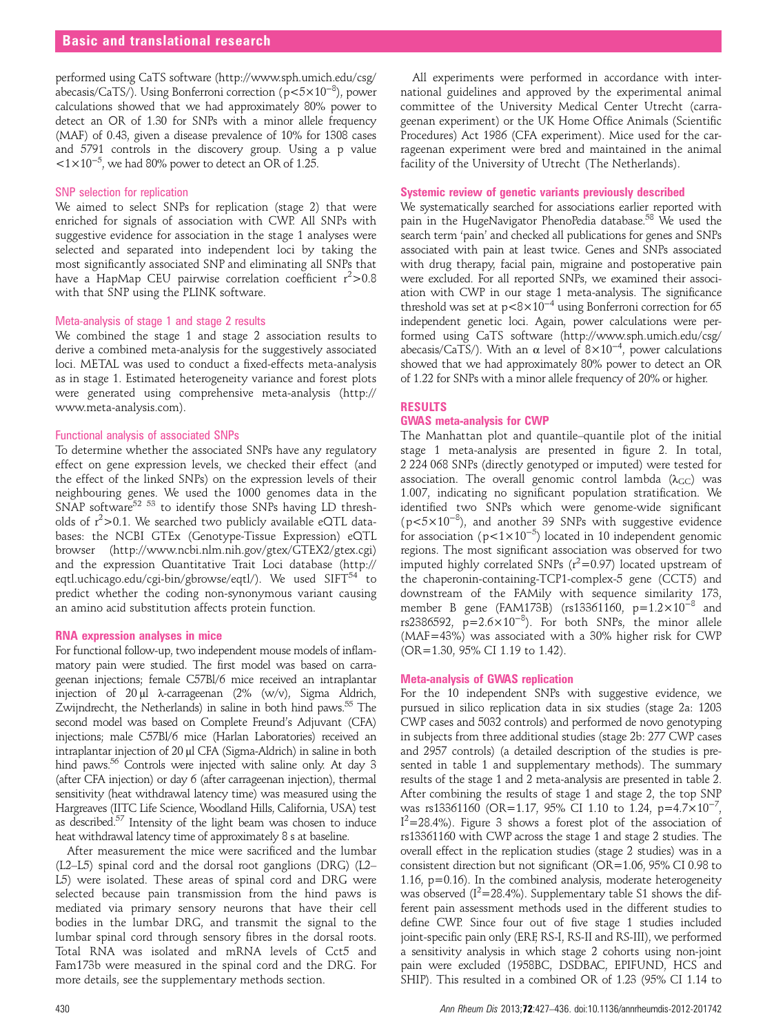performed using CaTS software ([http://www.sph.umich.edu/csg/](http://www.sph.umich.edu/csg/abecasis/CaTS/) [abecasis/CaTS/](http://www.sph.umich.edu/csg/abecasis/CaTS/)). Using Bonferroni correction (p<5×10−<sup>8</sup> ), power calculations showed that we had approximately 80% power to detect an OR of 1.30 for SNPs with a minor allele frequency (MAF) of 0.43, given a disease prevalence of 10% for 1308 cases and 5791 controls in the discovery group. Using a p value <1×10−<sup>5</sup> , we had 80% power to detect an OR of 1.25.

# SNP selection for replication

We aimed to select SNPs for replication (stage 2) that were enriched for signals of association with CWP. All SNPs with suggestive evidence for association in the stage 1 analyses were selected and separated into independent loci by taking the most significantly associated SNP and eliminating all SNPs that have a HapMap CEU pairwise correlation coefficient  $r^2$ >0.8 with that SNP using the PLINK software.

#### Meta-analysis of stage 1 and stage 2 results

We combined the stage 1 and stage 2 association results to derive a combined meta-analysis for the suggestively associated loci. METAL was used to conduct a fixed-effects meta-analysis as in stage 1. Estimated heterogeneity variance and forest plots were generated using comprehensive meta-analysis [\(http://](http://www.meta-analysis.com) [www.meta-analysis.com\)](http://www.meta-analysis.com).

#### Functional analysis of associated SNPs

To determine whether the associated SNPs have any regulatory effect on gene expression levels, we checked their effect (and the effect of the linked SNPs) on the expression levels of their neighbouring genes. We used the 1000 genomes data in the SNAP software<sup>52 53</sup> to identify those SNPs having LD thresholds of  $r^2$ >0.1. We searched two publicly available eQTL databases: the NCBI GTEx (Genotype-Tissue Expression) eQTL browser ([http://www.ncbi.nlm.nih.gov/gtex/GTEX2/gtex.cgi\)](http://www.ncbi.nlm.nih.gov/gtex/GTEX2/gtex.cgi) and the expression Quantitative Trait Loci database [\(http://](http://eqtl.uchicago.edu/cgi-bin/gbrowse/eqtl/) [eqtl.uchicago.edu/cgi-bin/gbrowse/eqtl/\)](http://eqtl.uchicago.edu/cgi-bin/gbrowse/eqtl/). We used SIFT<sup>54</sup> to predict whether the coding non-synonymous variant causing an amino acid substitution affects protein function.

# RNA expression analyses in mice

For functional follow-up, two independent mouse models of inflammatory pain were studied. The first model was based on carrageenan injections; female C57Bl/6 mice received an intraplantar injection of 20 μl λ-carrageenan (2% (w/v), Sigma Aldrich, Zwijndrecht, the Netherlands) in saline in both hind paws.<sup>55</sup> The second model was based on Complete Freund's Adjuvant (CFA) injections; male C57Bl/6 mice (Harlan Laboratories) received an intraplantar injection of 20 μl CFA (Sigma-Aldrich) in saline in both hind paws.<sup>56</sup> Controls were injected with saline only. At day 3 (after CFA injection) or day 6 (after carrageenan injection), thermal sensitivity (heat withdrawal latency time) was measured using the Hargreaves (IITC Life Science, Woodland Hills, California, USA) test as described.<sup>57</sup> Intensity of the light beam was chosen to induce heat withdrawal latency time of approximately 8 s at baseline.

After measurement the mice were sacrificed and the lumbar (L2–L5) spinal cord and the dorsal root ganglions (DRG) (L2– L5) were isolated. These areas of spinal cord and DRG were selected because pain transmission from the hind paws is mediated via primary sensory neurons that have their cell bodies in the lumbar DRG, and transmit the signal to the lumbar spinal cord through sensory fibres in the dorsal roots. Total RNA was isolated and mRNA levels of Cct5 and Fam173b were measured in the spinal cord and the DRG. For more details, see the [supplementary methods](http://.oxfordjournals.org/lookup/suppl/doi:10.1093//annrheumdis-2012-201742/-/DC1) section.

All experiments were performed in accordance with international guidelines and approved by the experimental animal committee of the University Medical Center Utrecht (carrageenan experiment) or the UK Home Office Animals (Scientific Procedures) Act 1986 (CFA experiment). Mice used for the carrageenan experiment were bred and maintained in the animal facility of the University of Utrecht (The Netherlands).

#### Systemic review of genetic variants previously described

We systematically searched for associations earlier reported with pain in the HugeNavigator PhenoPedia database.<sup>58</sup> We used the search term 'pain' and checked all publications for genes and SNPs associated with pain at least twice. Genes and SNPs associated with drug therapy, facial pain, migraine and postoperative pain were excluded. For all reported SNPs, we examined their association with CWP in our stage 1 meta-analysis. The significance threshold was set at  $p < 8 \times 10^{-4}$  using Bonferroni correction for 65 independent genetic loci. Again, power calculations were performed using CaTS software ([http://www.sph.umich.edu/csg/](http://www.sph.umich.edu/csg/abecasis/CaTS/) [abecasis/CaTS/](http://www.sph.umich.edu/csg/abecasis/CaTS/)). With an α level of  $8 \times 10^{-4}$ , power calculations showed that we had approximately 80% power to detect an OR of 1.22 for SNPs with a minor allele frequency of 20% or higher.

# **RESULTS**

#### GWAS meta-analysis for CWP

The Manhattan plot and quantile–quantile plot of the initial stage 1 meta-analysis are presented in figure 2. In total, 2 224 068 SNPs (directly genotyped or imputed) were tested for association. The overall genomic control lambda ( $\lambda_{\rm GC}$ ) was 1.007, indicating no significant population stratification. We identified two SNPs which were genome-wide significant (p<5×10−<sup>8</sup> ), and another 39 SNPs with suggestive evidence for association ( $p < 1 \times 10^{-5}$ ) located in 10 independent genomic regions. The most significant association was observed for two imputed highly correlated SNPs  $(r^2=0.97)$  located upstream of the chaperonin-containing-TCP1-complex-5 gene (CCT5) and downstream of the FAMily with sequence similarity 173, member B gene (FAM173B) (rs13361160,  $p=1.2\times10^{-8}$  and rs2386592,  $p=2.6\times10^{-8}$ ). For both SNPs, the minor allele (MAF=43%) was associated with a 30% higher risk for CWP (OR=1.30, 95% CI 1.19 to 1.42).

#### Meta-analysis of GWAS replication

For the 10 independent SNPs with suggestive evidence, we pursued in silico replication data in six studies (stage 2a: 1203 CWP cases and 5032 controls) and performed de novo genotyping in subjects from three additional studies (stage 2b: 277 CWP cases and 2957 controls) (a detailed description of the studies is presented in table 1 and [supplementary methods\)](http://.oxfordjournals.org/lookup/suppl/doi:10.1093//annrheumdis-2012-201742/-/DC1). The summary results of the stage 1 and 2 meta-analysis are presented in table 2. After combining the results of stage 1 and stage 2, the top SNP was rs13361160 (OR=1.17, 95% CI 1.10 to 1.24, p=4.7×10<sup>-7</sup>,  $I^2$ =28.4%). Figure 3 shows a forest plot of the association of rs13361160 with CWP across the stage 1 and stage 2 studies. The overall effect in the replication studies (stage 2 studies) was in a consistent direction but not significant (OR=1.06, 95% CI 0.98 to 1.16, p=0.16). In the combined analysis, moderate heterogeneity was observed  $(I^2=28.4\%)$ . [Supplementary table S1](http://.oxfordjournals.org/lookup/suppl/doi:10.1093//annrheumdis-2012-201742/-/DC1) shows the different pain assessment methods used in the different studies to define CWP. Since four out of five stage 1 studies included joint-specific pain only (ERF, RS-I, RS-II and RS-III), we performed a sensitivity analysis in which stage 2 cohorts using non-joint pain were excluded (1958BC, DSDBAC, EPIFUND, HCS and SHIP). This resulted in a combined OR of 1.23 (95% CI 1.14 to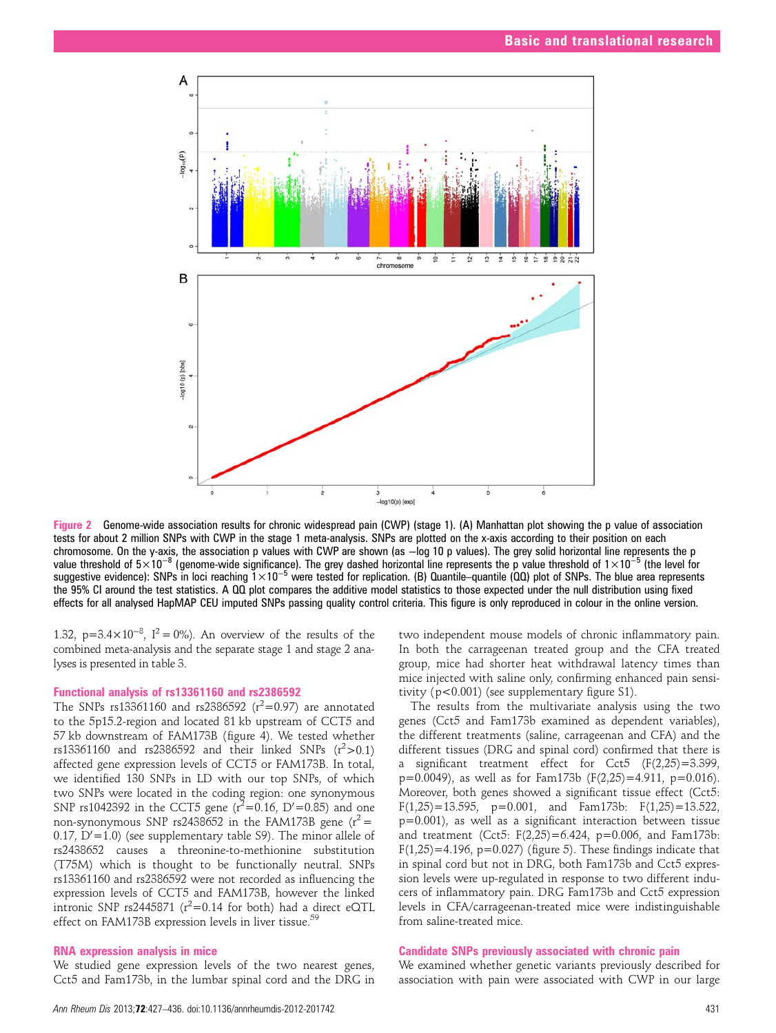

Figure 2 Genome-wide association results for chronic widespread pain (CWP) (stage 1). (A) Manhattan plot showing the p value of association tests for about 2 million SNPs with CWP in the stage 1 meta-analysis. SNPs are plotted on the x-axis according to their position on each chromosome. On the y-axis, the association p values with CWP are shown (as −log 10 p values). The grey solid horizontal line represents the p value threshold of  $5\times10^{-8}$  (genome-wide significance). The grey dashed horizontal line represents the p value threshold of  $1\times10^{-5}$  (the level for suggestive evidence): SNPs in loci reaching 1×10<sup>-5</sup> were tested for replication. (B) Quantile–quantile (QQ) plot of SNPs. The blue area represents the 95% CI around the test statistics. A QQ plot compares the additive model statistics to those expected under the null distribution using fixed effects for all analysed HapMAP CEU imputed SNPs passing quality control criteria. This figure is only reproduced in colour in the online version.

1.32, p=3.4×10<sup>-8</sup>, I<sup>2</sup> = 0%). An overview of the results of the combined meta-analysis and the separate stage 1 and stage 2 analyses is presented in table 3.

#### Functional analysis of rs13361160 and rs2386592

The SNPs  $rs13361160$  and  $rs2386592$   $(r^2=0.97)$  are annotated to the 5p15.2-region and located 81 kb upstream of CCT5 and 57 kb downstream of FAM173B (figure 4). We tested whether  $rs13361160$  and  $rs2386592$  and their linked SNPs  $(r^2>0.1)$ affected gene expression levels of CCT5 or FAM173B. In total, we identified 130 SNPs in LD with our top SNPs, of which two SNPs were located in the coding region: one synonymous SNP rs1042392 in the CCT5 gene ( $r^2$ =0.16, D'=0.85) and one non-synonymous SNP rs2438652 in the FAM173B gene  $(r^2 =$  $0.17,$   $\mathrm{D^\prime}{=}1.0)$  (see [supplementary table S9](http://.oxfordjournals.org/lookup/suppl/doi:10.1093//annrheumdis-2012-201742/-/DC1)). The minor allele of rs2438652 causes a threonine-to-methionine substitution (T75M) which is thought to be functionally neutral. SNPs rs13361160 and rs2386592 were not recorded as influencing the expression levels of CCT5 and FAM173B, however the linked intronic SNP rs2445871 ( $r^2$ =0.14 for both) had a direct eQTL effect on FAM173B expression levels in liver tissue.<sup>59</sup>

#### RNA expression analysis in mice

We studied gene expression levels of the two nearest genes, Cct5 and Fam173b, in the lumbar spinal cord and the DRG in two independent mouse models of chronic inflammatory pain. In both the carrageenan treated group and the CFA treated group, mice had shorter heat withdrawal latency times than mice injected with saline only, confirming enhanced pain sensitivity (p<0.001) (see [supplementary](http://.oxfordjournals.org/lookup/suppl/doi:10.1093//annrheumdis-2012-201742/-/DC1) figure S1).

The results from the multivariate analysis using the two genes (Cct5 and Fam173b examined as dependent variables), the different treatments (saline, carrageenan and CFA) and the different tissues (DRG and spinal cord) confirmed that there is a significant treatment effect for Cct5 (F(2,25)=3.399,  $p=0.0049$ ), as well as for Fam173b (F(2,25)=4.911, p=0.016). Moreover, both genes showed a significant tissue effect (Cct5:  $F(1,25) = 13.595$ ,  $p=0.001$ , and Fam173b:  $F(1,25) = 13.522$ , p=0.001), as well as a significant interaction between tissue and treatment (Cct5: F(2,25)=6.424, p=0.006, and Fam173b:  $F(1,25)=4.196$ ,  $p=0.027$ ) (figure 5). These findings indicate that in spinal cord but not in DRG, both Fam173b and Cct5 expression levels were up-regulated in response to two different inducers of inflammatory pain. DRG Fam173b and Cct5 expression levels in CFA/carrageenan-treated mice were indistinguishable from saline-treated mice.

# Candidate SNPs previously associated with chronic pain

We examined whether genetic variants previously described for association with pain were associated with CWP in our large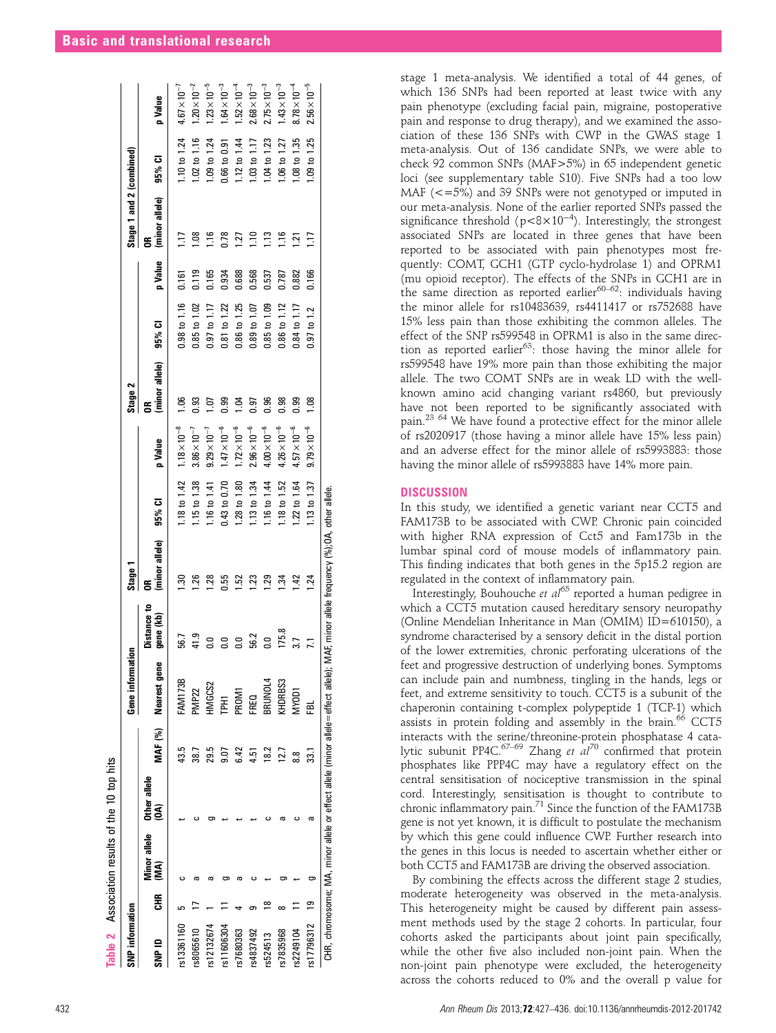| SNP information |        |                                                                                  |                                |      | Gene informat        | ien                      | Stage '                                             |                         |                       | Stage 2              |                 |         | Stage 1 and 2 (combined) |                         |                       |
|-----------------|--------|----------------------------------------------------------------------------------|--------------------------------|------|----------------------|--------------------------|-----------------------------------------------------|-------------------------|-----------------------|----------------------|-----------------|---------|--------------------------|-------------------------|-----------------------|
| SNP ID          | 뚶      | (MA)                                                                             | Minor allele Other allele<br>ŝ |      | MAF (%) Nearest gene | Distance to<br>gene (kb) | (minor allele)<br>g                                 | 95% CI                  | p Value               | OR<br>(minor allele) | 95% CI          | p Value | OR<br>(minor allele)     | 95% CI                  | p Value               |
| rs13361160      |        |                                                                                  |                                | 43.5 | <b>FAM173B</b>       | 56.7                     | ສ                                                   | $.18 \text{ to } 1.42$  | $1.18 \times 10^{-8}$ | $\frac{6}{10}$       | 0.98 to 1.16    | 0.161   |                          | $1.10 \text{ to } 1.24$ | $4.67 \times 10^{-7}$ |
| rs8065610       |        |                                                                                  |                                | 38.7 | PMP <sub>22</sub>    | 41.9                     | 8ġ                                                  | $1.15$ to $1.38$        | $3.86 \times 10^{-7}$ | 0.93                 | 0.85 to 1.02    | 0.119   | ã.                       | $.02 \text{ to } 1.16$  | $1.20 \times 10^{-2}$ |
| rs12132674      |        |                                                                                  |                                | 29.5 | INGCS2               | $\overline{0}$           | 8ġ                                                  | 1.16 to 1.41            | $9.29\times10^{-7}$   | io                   | 0.97 to 1.17    | 0.165   | $\frac{6}{1}$            | .09 to 1.24             | $1.23\times10^{-5}$   |
| rs11606304      |        |                                                                                  |                                | 0.07 | i<br>E               | $\overline{0}$           | 0.55                                                | 0.43 to 0.70            | $1.47 \times 10^{-6}$ | 0.99                 | 0.81 to 1.22    | 0.934   | 0.78                     | 1.66 to 0.91            | $1.64 \times 10^{-3}$ |
| rs7680363       |        |                                                                                  |                                | 6.42 | PROM1                | $\overline{0}$ .         | 52                                                  | $1.28 \text{ to } 1.80$ | $1.72 \times 10^{-6}$ | 1.04                 | 0.86 to 1.25    | 0.688   | 127                      | 1.12 to 1.44            | $1.52 \times 10^{-4}$ |
| rs4837492       |        |                                                                                  |                                | 4.51 | <b>FREQ</b>          | 56.2                     | $\frac{23}{2}$                                      | 1.13 to 1.34            | $2.96 \times 10^{-6}$ | 0.97                 | 0.89 to 1.07    | 0.568   | $\frac{10}{10}$          | 1.03 to 1.17            | $2.68\times10^{-3}$   |
| rs524513        |        |                                                                                  |                                | 18.2 | BRUNOL4              | $\overline{0}$ .         | ಸ್ತಿ                                                | 1.16 to 1.44            | $4.00\times10^{-6}$   | 0.96                 | 0.85 to 1.09    | 0.537   | $\frac{3}{2}$            | 1.04 to 1.23            | $2.75 \times 10^{-3}$ |
| 535968          |        |                                                                                  |                                |      | KHDRBS3              | 175.8                    | ઝું                                                 | $.18 \text{ to } 1.52$  | $4.26 \times 10^{-6}$ | 0.98                 | 0.86 to 1.12    | 0.787   | $\frac{6}{10}$           | $1.06 \text{ to } 1.27$ | $1.43 \times 10^{-3}$ |
| rs2249104       |        |                                                                                  |                                | 8.8  | NYOD1                |                          | d.                                                  | .22 to 1.64             | $4.57 \times 10^{-6}$ | <b>99</b>            | 0.84 to 1.17    | 0.882   | $\bar{2}$                | .08 to 1.35             | $8.78\times10^{-4}$   |
| rs17796312      | ლ<br>— |                                                                                  |                                |      | 瓸                    |                          | 1.24                                                | 1.13 to 1.37            | $9.79\times10^{-6}$   | $\frac{80}{2}$       | $0.97$ to $1.2$ | 0.166   |                          | .09 to 1.25             | $2.56\times10^{-5}$   |
|                 |        | CHR, chromosome; MA, minor allele or effect allele (minor allele=effect allele); |                                |      |                      |                          | VIAF, minor allele frequency (%); OA, other allele. |                         |                       |                      |                 |         |                          |                         |                       |

stage 1 meta-analysis. We identified a total of 44 genes, of which 136 SNPs had been reported at least twice with any pain phenotype (excluding facial pain, migraine, postoperative pain and response to drug therapy), and we examined the association of these 136 SNPs with CWP in the GWAS stage 1 meta-analysis. Out of 136 candidate SNPs, we were able to check 92 common SNPs (MAF>5%) in 65 independent genetic loci (see [supplementary table S10](http://.oxfordjournals.org/lookup/suppl/doi:10.1093//annrheumdis-2012-201742/-/DC1)). Five SNPs had a too low MAF (<=5%) and 39 SNPs were not genotyped or imputed in our meta-analysis. None of the earlier reported SNPs passed the significance threshold (p<8×10−<sup>4</sup> ). Interestingly, the strongest associated SNPs are located in three genes that have been reported to be associated with pain phenotypes most frequently: COMT, GCH1 (GTP cyclo-hydrolase 1) and OPRM1 (mu opioid receptor). The effects of the SNPs in GCH1 are in the same direction as reported earlier<sup>60–62</sup>: individuals having the minor allele for rs10483639, rs4411417 or rs752688 have 15% less pain than those exhibiting the common alleles. The effect of the SNP rs599548 in OPRM1 is also in the same direction as reported earlier $63$ : those having the minor allele for rs599548 have 19% more pain than those exhibiting the major allele. The two COMT SNPs are in weak LD with the wellknown amino acid changing variant rs4860, but previously have not been reported to be significantly associated with pain.23 64 We have found a protective effect for the minor allele of rs2020917 (those having a minor allele have 15% less pain) and an adverse effect for the minor allele of rs5993883: those having the minor allele of rs5993883 have 14% more pain.

#### **DISCUSSION**

In this study, we identified a genetic variant near CCT5 and FAM173B to be associated with CWP. Chronic pain coincided with higher RNA expression of Cct5 and Fam173b in the lumbar spinal cord of mouse models of inflammatory pain. This finding indicates that both genes in the 5p15.2 region are regulated in the context of inflammatory pain.

Interestingly, Bouhouche et  $a^{165}$  reported a human pedigree in which a CCT5 mutation caused hereditary sensory neuropathy (Online Mendelian Inheritance in Man (OMIM) ID=610150), a syndrome characterised by a sensory deficit in the distal portion of the lower extremities, chronic perforating ulcerations of the feet and progressive destruction of underlying bones. Symptoms can include pain and numbness, tingling in the hands, legs or feet, and extreme sensitivity to touch. CCT5 is a subunit of the chaperonin containing t-complex polypeptide 1 (TCP-1) which assists in protein folding and assembly in the brain.<sup>66</sup> CCT5 interacts with the serine/threonine-protein phosphatase 4 catalytic subunit PP4C.<sup>67–69</sup> Zhang et  $al^{70}$  confirmed that protein phosphates like PPP4C may have a regulatory effect on the central sensitisation of nociceptive transmission in the spinal cord. Interestingly, sensitisation is thought to contribute to chronic inflammatory pain. $^{71}$  Since the function of the FAM173B gene is not yet known, it is difficult to postulate the mechanism by which this gene could influence CWP. Further research into the genes in this locus is needed to ascertain whether either or both CCT5 and FAM173B are driving the observed association.

By combining the effects across the different stage 2 studies, moderate heterogeneity was observed in the meta-analysis. This heterogeneity might be caused by different pain assessment methods used by the stage 2 cohorts. In particular, four cohorts asked the participants about joint pain specifically, while the other five also included non-joint pain. When the non-joint pain phenotype were excluded, the heterogeneity across the cohorts reduced to 0% and the overall p value for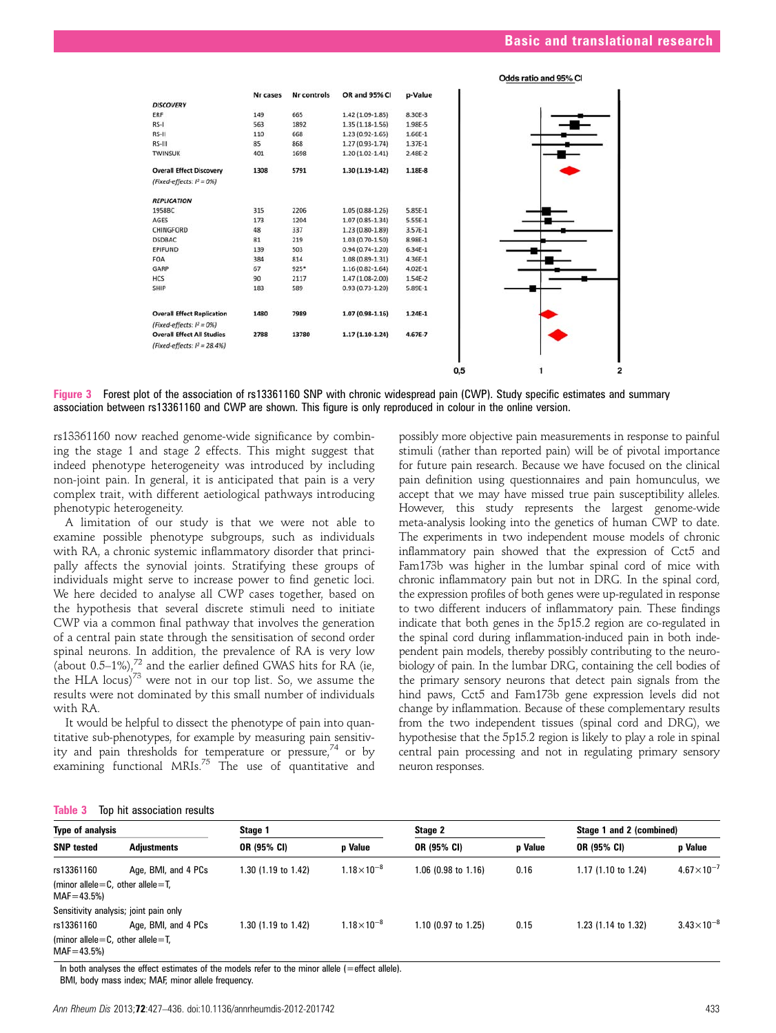

Figure 3 Forest plot of the association of rs13361160 SNP with chronic widespread pain (CWP). Study specific estimates and summary association between rs13361160 and CWP are shown. This figure is only reproduced in colour in the online version.

rs13361160 now reached genome-wide significance by combining the stage 1 and stage 2 effects. This might suggest that indeed phenotype heterogeneity was introduced by including non-joint pain. In general, it is anticipated that pain is a very complex trait, with different aetiological pathways introducing phenotypic heterogeneity.

A limitation of our study is that we were not able to examine possible phenotype subgroups, such as individuals with RA, a chronic systemic inflammatory disorder that principally affects the synovial joints. Stratifying these groups of individuals might serve to increase power to find genetic loci. We here decided to analyse all CWP cases together, based on the hypothesis that several discrete stimuli need to initiate CWP via a common final pathway that involves the generation of a central pain state through the sensitisation of second order spinal neurons. In addition, the prevalence of RA is very low (about  $0.5-1\%$ ),<sup>72</sup> and the earlier defined GWAS hits for RA (ie, the HLA locus) $^{73}$  were not in our top list. So, we assume the results were not dominated by this small number of individuals with RA.

It would be helpful to dissect the phenotype of pain into quantitative sub-phenotypes, for example by measuring pain sensitivity and pain thresholds for temperature or pressure,<sup>74</sup> or by examining functional MRIs.<sup>75</sup> The use of quantitative and possibly more objective pain measurements in response to painful stimuli (rather than reported pain) will be of pivotal importance for future pain research. Because we have focused on the clinical pain definition using questionnaires and pain homunculus, we accept that we may have missed true pain susceptibility alleles. However, this study represents the largest genome-wide meta-analysis looking into the genetics of human CWP to date. The experiments in two independent mouse models of chronic inflammatory pain showed that the expression of Cct5 and Fam173b was higher in the lumbar spinal cord of mice with chronic inflammatory pain but not in DRG. In the spinal cord, the expression profiles of both genes were up-regulated in response to two different inducers of inflammatory pain. These findings indicate that both genes in the 5p15.2 region are co-regulated in the spinal cord during inflammation-induced pain in both independent pain models, thereby possibly contributing to the neurobiology of pain. In the lumbar DRG, containing the cell bodies of the primary sensory neurons that detect pain signals from the hind paws, Cct5 and Fam173b gene expression levels did not change by inflammation. Because of these complementary results from the two independent tissues (spinal cord and DRG), we hypothesise that the 5p15.2 region is likely to play a role in spinal central pain processing and not in regulating primary sensory neuron responses.

#### Table 3 Top hit association results

| Type of analysis                                            |                                       | Stage 1             |                     | Stage 2             |         |                               | Stage 1 and 2 (combined) |  |
|-------------------------------------------------------------|---------------------------------------|---------------------|---------------------|---------------------|---------|-------------------------------|--------------------------|--|
| <b>SNP</b> tested                                           | <b>Adjustments</b>                    | OR (95% CI)         | p Value             | OR (95% CI)         | p Value | OR (95% CI)                   | p Value                  |  |
| rs13361160                                                  | Age, BMI, and 4 PCs                   | 1.30 (1.19 to 1.42) | $1.18\times10^{-8}$ | 1.06 (0.98 to 1.16) | 0.16    | $1.17(1.10 \text{ to } 1.24)$ | $4.67 \times 10^{-7}$    |  |
| (minor allele $=C$ , other allele $=T$ ,<br>$MAF = 43.5\%)$ |                                       |                     |                     |                     |         |                               |                          |  |
|                                                             | Sensitivity analysis; joint pain only |                     |                     |                     |         |                               |                          |  |
| rs13361160                                                  | Age, BMI, and 4 PCs                   | 1.30 (1.19 to 1.42) | $1.18\times10^{-8}$ | 1.10 (0.97 to 1.25) | 0.15    | 1.23 (1.14 to 1.32)           | $3.43 \times 10^{-8}$    |  |
| (minor allele $=C$ , other allele $=T$ ,<br>$MAF = 43.5\%)$ |                                       |                     |                     |                     |         |                               |                          |  |

In both analyses the effect estimates of the models refer to the minor allele (=effect allele). BMI, body mass index; MAF, minor allele frequency.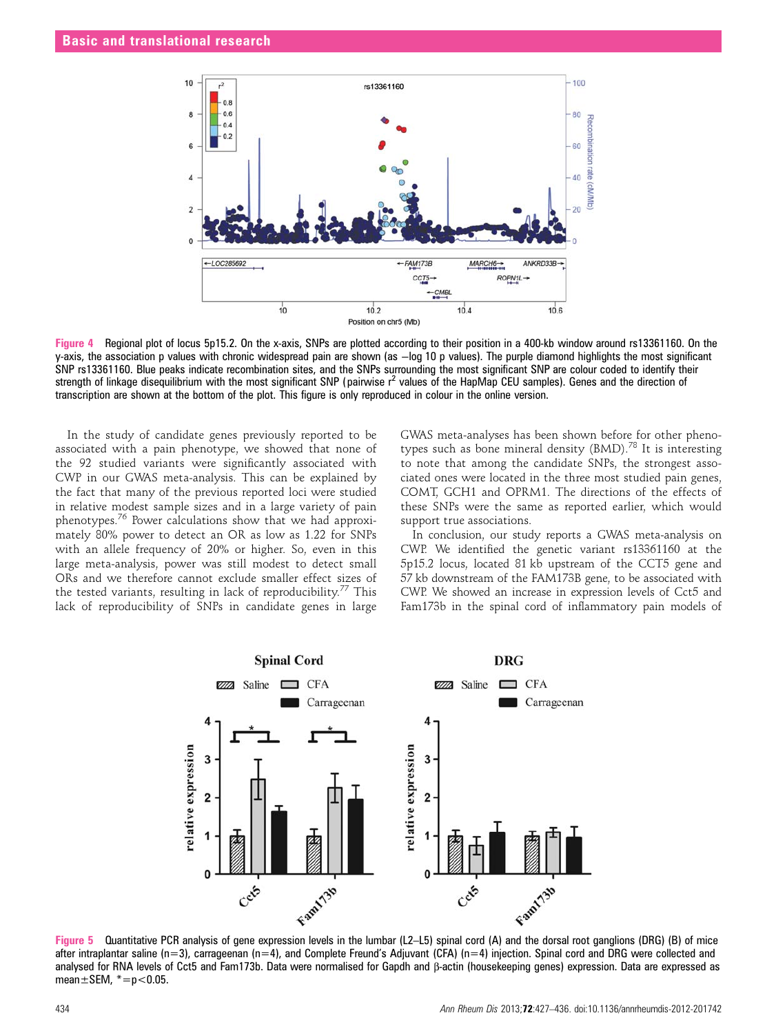

Figure 4 Regional plot of locus 5p15.2. On the x-axis, SNPs are plotted according to their position in a 400-kb window around rs13361160. On the y-axis, the association p values with chronic widespread pain are shown (as −log 10 p values). The purple diamond highlights the most significant SNP rs13361160. Blue peaks indicate recombination sites, and the SNPs surrounding the most significant SNP are colour coded to identify their strength of linkage disequilibrium with the most significant SNP (pairwise  $r^2$  values of the HapMap CEU samples). Genes and the direction of transcription are shown at the bottom of the plot. This figure is only reproduced in colour in the online version.

In the study of candidate genes previously reported to be associated with a pain phenotype, we showed that none of the 92 studied variants were significantly associated with CWP in our GWAS meta-analysis. This can be explained by the fact that many of the previous reported loci were studied in relative modest sample sizes and in a large variety of pain phenotypes.<sup>76</sup> Power calculations show that we had approximately 80% power to detect an OR as low as 1.22 for SNPs with an allele frequency of 20% or higher. So, even in this large meta-analysis, power was still modest to detect small ORs and we therefore cannot exclude smaller effect sizes of the tested variants, resulting in lack of reproducibility.<sup>77</sup> This lack of reproducibility of SNPs in candidate genes in large GWAS meta-analyses has been shown before for other phenotypes such as bone mineral density (BMD).<sup>78</sup> It is interesting to note that among the candidate SNPs, the strongest associated ones were located in the three most studied pain genes, COMT, GCH1 and OPRM1. The directions of the effects of these SNPs were the same as reported earlier, which would support true associations.

In conclusion, our study reports a GWAS meta-analysis on CWP. We identified the genetic variant rs13361160 at the 5p15.2 locus, located 81 kb upstream of the CCT5 gene and 57 kb downstream of the FAM173B gene, to be associated with CWP. We showed an increase in expression levels of Cct5 and Fam173b in the spinal cord of inflammatory pain models of



Figure 5 Quantitative PCR analysis of gene expression levels in the lumbar (L2–L5) spinal cord (A) and the dorsal root ganglions (DRG) (B) of mice after intraplantar saline ( $n=3$ ), carrageenan ( $n=4$ ), and Complete Freund's Adjuvant (CFA) ( $n=4$ ) injection. Spinal cord and DRG were collected and analysed for RNA levels of Cct5 and Fam173b. Data were normalised for Gapdh and β-actin (housekeeping genes) expression. Data are expressed as mean $\pm$ SEM,  $* = p < 0.05$ .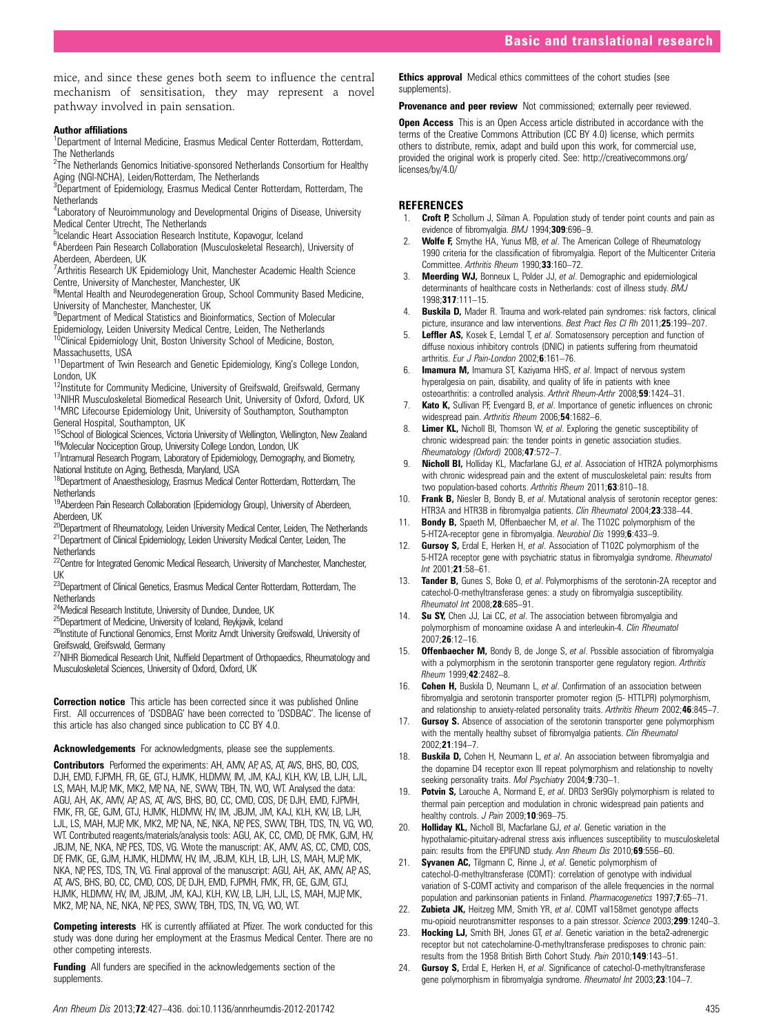mice, and since these genes both seem to influence the central mechanism of sensitisation, they may represent a novel pathway involved in pain sensation.

#### Author affiliations <sup>1</sup>

<sup>1</sup> Department of Internal Medicine, Erasmus Medical Center Rotterdam, Rotterdam, The Netherlands

<sup>2</sup>The Netherlands Genomics Initiative-sponsored Netherlands Consortium for Healthy Aging (NGI-NCHA), Leiden/Rotterdam, The Netherlands

<sup>3</sup>Department of Epidemiology, Erasmus Medical Center Rotterdam, Rotterdam, The **Netherlands** 

<sup>4</sup> Laboratory of Neuroimmunology and Developmental Origins of Disease, University Medical Center Utrecht, The Netherlands

<sup>5</sup>Icelandic Heart Association Research Institute, Kopavogur, Iceland

6 Aberdeen Pain Research Collaboration (Musculoskeletal Research), University of Aberdeen, Aberdeen, UK

<sup>7</sup> Arthritis Research UK Epidemiology Unit, Manchester Academic Health Science Centre, University of Manchester, Manchester, UK

<sup>8</sup>Mental Health and Neurodegeneration Group, School Community Based Medicine, University of Manchester, Manchester, UK

<sup>9</sup>Department of Medical Statistics and Bioinformatics, Section of Molecular Epidemiology, Leiden University Medical Centre, Leiden, The Netherlands<br><sup>10</sup>Clinical Epidemiology Unit, Boston University School of Medicine, Boston,

Massachusetts, USA<br><sup>11</sup>Department of Twin Research and Genetic Epidemiology, King's College London,

London, UK<br><sup>12</sup>Institute for Community Medicine, University of Greifswald, Greifswald, Germany

<sup>13</sup>NIHR Musculoskeletal Biomedical Research Unit, University of Oxford, Oxford, UK<br><sup>14</sup>MRC Lifecourse Epidemiology Unit, University of Southampton, Southampton General Hospital, Southampton, UK

<sup>15</sup>School of Biological Sciences, Victoria University of Wellington, Wellington, New Zealand <sup>16</sup>Molecular Nociception Group, University College London, London, UK

<sup>17</sup>Intramural Research Program, Laboratory of Epidemiology, Demography, and Biometry, National Institute on Aging, Bethesda, Maryland, USA

<sup>18</sup>Department of Anaesthesiology, Erasmus Medical Center Rotterdam, Rotterdam, The **Netherlands** 

19<br>Aberdeen Pain Research Collaboration (Epidemiology Group), University of Aberdeen, Aberdeen, UK

<sup>20</sup>Department of Rheumatology, Leiden University Medical Center, Leiden, The Netherlands <sup>21</sup>Department of Clinical Epidemiology, Leiden University Medical Center, Leiden, The **Netherlands** 

22Centre for Integrated Genomic Medical Research, University of Manchester, Manchester, UK

<sup>23</sup>Department of Clinical Genetics, Erasmus Medical Center Rotterdam, Rotterdam, The **Netherlands** 

<sup>24</sup>Medical Research Institute, University of Dundee, Dundee, UK

<sup>25</sup>Department of Medicine, University of Iceland, Reykjavik, Iceland

<sup>26</sup>Institute of Functional Genomics, Ernst Moritz Amdt University Greifswald, University of Greifswald, Greifswald, Germany

<sup>27</sup>NIHR Biomedical Research Unit, Nuffield Department of Orthopaedics, Rheumatology and Musculoskeletal Sciences, University of Oxford, Oxford, UK

**Correction notice** This article has been corrected since it was published Online First. All occurrences of 'DSDBAG' have been corrected to 'DSDBAC'. The license of this article has also changed since publication to CC BY 4.0.

# Acknowledgements For acknowledgments, please see the [supplements](http://.oxfordjournals.org/lookup/suppl/doi:10.1093//annrheumdis-2012-201742/-/DC1).

Contributors Performed the experiments: AH, AMV, AP, AS, AT, AVS, BHS, BO, COS, DJH, EMD, FJPMH, FR, GE, GTJ, HJMK, HLDMW, IM, JM, KAJ, KLH, KW, LB, LJH, LJL, LS, MAH, MJP, MK, MK2, MP, NA, NE, SWW, TBH, TN, WO, WT. Analysed the data: AGU, AH, AK, AMV, AP, AS, AT, AVS, BHS, BO, CC, CMD, COS, DF, DJH, EMD, FJPMH, FMK, FR, GE, GJM, GTJ, HJMK, HLDMW, HV, IM, JBJM, JM, KAJ, KLH, KW, LB, LJH, LJL, LS, MAH, MJP, MK, MK2, MP, NA, NE, NKA, NP, PES, SWW, TBH, TDS, TN, VG, WO, WT. Contributed reagents/materials/analysis tools: AGU, AK, CC, CMD, DF, FMK, GJM, HV, JBJM, NE, NKA, NP, PES, TDS, VG. Wrote the manuscript: AK, AMV, AS, CC, CMD, COS, DF, FMK, GE, GJM, HJMK, HLDMW, HV, IM, JBJM, KLH, LB, LJH, LS, MAH, MJP, MK, NKA, NP, PES, TDS, TN, VG. Final approval of the manuscript: AGU, AH, AK, AMV, AP, AS, AT, AVS, BHS, BO, CC, CMD, COS, DF, DJH, EMD, FJPMH, FMK, FR, GE, GJM, GTJ, HJMK, HLDMW, HV, IM, JBJM, JM, KAJ, KLH, KW, LB, LJH, LJL, LS, MAH, MJP, MK, MK2, MP, NA, NE, NKA, NP, PES, SWW, TBH, TDS, TN, VG, WO, WT.

**Competing interests** HK is currently affiliated at Pfizer. The work conducted for this study was done during her employment at the Erasmus Medical Center. There are no other competing interests.

Funding All funders are specified in the acknowledgements section of the [supplements](http://.oxfordjournals.org/lookup/suppl/doi:10.1093//annrheumdis-2012-201742/-/DC1).

**Ethics approval** Medical ethics committees of the cohort studies (see [supplements](http://.oxfordjournals.org/lookup/suppl/doi:10.1093//annrheumdis-2012-201742/-/DC1)).

**Provenance and peer review** Not commissioned; externally peer reviewed.

**Open Access** This is an Open Access article distributed in accordance with the terms of the Creative Commons Attribution (CC BY 4.0) license, which permits others to distribute, remix, adapt and build upon this work, for commercial use, provided the original work is properly cited. See: http://creativecommons.org/ licenses/by/4.0/

### **REFERENCES**

- Croft P, Schollum J, Silman A. Population study of tender point counts and pain as evidence of fibromyalgia. BMJ 1994;309:696-9.
- 2. Wolfe F, Smythe HA, Yunus MB, et al. The American College of Rheumatology 1990 criteria for the classification of fibromyalgia. Report of the Multicenter Criteria Committee. Arthritis Rheum 1990;33:160-72.
- 3. **Meerding WJ,** Bonneux L, Polder JJ, et al. Demographic and epidemiological determinants of healthcare costs in Netherlands: cost of illness study. BMJ 1998;317:111–15.
- 4. Buskila D, Mader R. Trauma and work-related pain syndromes: risk factors, clinical picture, insurance and law interventions. Best Pract Res CI Rh 2011;25:199-207.
- 5. **Leffler AS,** Kosek E, Lerndal T, et al. Somatosensory perception and function of diffuse noxious inhibitory controls (DNIC) in patients suffering from rheumatoid arthritis. Eur J Pain-London 2002;6:161–76.
- 6. **Imamura M, Imamura ST, Kaziyama HHS, et al. Impact of nervous system** hyperalgesia on pain, disability, and quality of life in patients with knee osteoarthritis: a controlled analysis. Arthrit Rheum-Arthr 2008;59:1424–31.
- 7. **Kato K,** Sullivan PF, Evengard B, et al. Importance of genetic influences on chronic widespread pain. Arthritis Rheum 2006;54:1682-6.
- 8. **Limer KL,** Nicholl Bl, Thomson W, et al. Exploring the genetic susceptibility of chronic widespread pain: the tender points in genetic association studies. Rheumatology (Oxford) 2008;47:572–7.
- 9. **Nicholl BI,** Holliday KL, Macfarlane GJ, et al. Association of HTR2A polymorphisms with chronic widespread pain and the extent of musculoskeletal pain: results from two population-based cohorts. Arthritis Rheum 2011;63:810-18.
- 10. Frank B, Niesler B, Bondy B, et al. Mutational analysis of serotonin receptor genes: HTR3A and HTR3B in fibromyalgia patients. Clin Rheumatol 2004;23:338-44.
- 11. **Bondy B,** Spaeth M, Offenbaecher M, et al. The T102C polymorphism of the 5-HT2A-receptor gene in fibromyalgia. Neurobiol Dis 1999;6:433–9.
- 12. Gursoy S, Erdal E, Herken H, et al. Association of T102C polymorphism of the 5-HT2A receptor gene with psychiatric status in fibromyalgia syndrome. Rheumatol  $Int 2001:21:58–61$
- 13. **Tander B,** Gunes S, Boke O, et al. Polymorphisms of the serotonin-2A receptor and catechol-O-methyltransferase genes: a study on fibromyalgia susceptibility. Rheumatol Int 2008;28:685–91.
- Su SY, Chen JJ, Lai CC, et al. The association between fibromyalgia and polymorphism of monoamine oxidase A and interleukin-4. Clin Rheumatol 2007;26:12–16.
- 15. **Offenbaecher M,** Bondy B, de Jonge S, et al. Possible association of fibromyalgia with a polymorphism in the serotonin transporter gene regulatory region. Arthritis Rheum 1999;42:2482–8.
- 16. **Cohen H,** Buskila D, Neumann L, et al. Confirmation of an association between fibromyalgia and serotonin transporter promoter region (5- HTTLPR) polymorphism, and relationship to anxiety-related personality traits. Arthritis Rheum 2002;46:845–7.
- 17. **Gursoy S.** Absence of association of the serotonin transporter gene polymorphism with the mentally healthy subset of fibromyalgia patients. Clin Rheumatol 2002;21:194–7.
- 18. Buskila D, Cohen H, Neumann L, et al. An association between fibromyalgia and the dopamine D4 receptor exon III repeat polymorphism and relationship to novelty seeking personality traits. Mol Psychiatry 2004;9:730-1.
- Potvin S, Larouche A, Normand E, et al. DRD3 Ser9Gly polymorphism is related to thermal pain perception and modulation in chronic widespread pain patients and healthy controls. J Pain 2009;10:969-75.
- 20. **Holliday KL,** Nicholl BI, Macfarlane GJ, et al. Genetic variation in the hypothalamic-pituitary-adrenal stress axis influences susceptibility to musculoskeletal pain: results from the EPIFUND study. Ann Rheum Dis 2010;69:556-60.
- 21. Syvanen AC, Tilgmann C, Rinne J, et al. Genetic polymorphism of catechol-O-methyltransferase (COMT): correlation of genotype with individual variation of S-COMT activity and comparison of the allele frequencies in the normal population and parkinsonian patients in Finland. Pharmacogenetics 1997;7:65-71.
- 22. Zubieta JK, Heitzeg MM, Smith YR, et al. COMT val158met genotype affects mu-opioid neurotransmitter responses to a pain stressor. Science 2003;299:1240-3.
- Hocking LJ, Smith BH, Jones GT, et al. Genetic variation in the beta2-adrenergic receptor but not catecholamine-O-methyltransferase predisposes to chronic pain: results from the 1958 British Birth Cohort Study. Pain 2010;149:143-51.
- 24. Gursoy S, Erdal E, Herken H, et al. Significance of catechol-O-methyltransferase gene polymorphism in fibromyalgia syndrome. Rheumatol Int 2003;23:104–7.